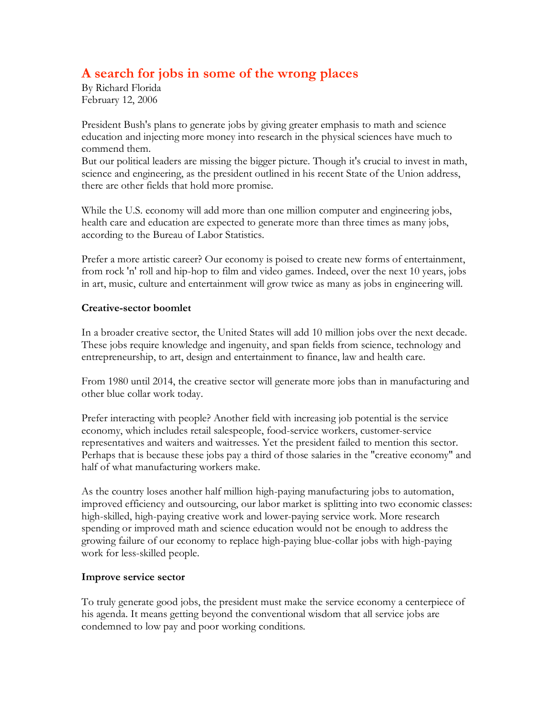## **A search for jobs in some of the wrong places**

By Richard Florida February 12, 2006

President Bush's plans to generate jobs by giving greater emphasis to math and science education and injecting more money into research in the physical sciences have much to commend them.

But our political leaders are missing the bigger picture. Though it's crucial to invest in math, science and engineering, as the president outlined in his recent State of the Union address, there are other fields that hold more promise.

While the U.S. economy will add more than one million computer and engineering jobs, health care and education are expected to generate more than three times as many jobs, according to the Bureau of Labor Statistics.

Prefer a more artistic career? Our economy is poised to create new forms of entertainment, from rock 'n' roll and hip-hop to film and video games. Indeed, over the next 10 years, jobs in art, music, culture and entertainment will grow twice as many as jobs in engineering will.

## **Creative-sector boomlet**

In a broader creative sector, the United States will add 10 million jobs over the next decade. These jobs require knowledge and ingenuity, and span fields from science, technology and entrepreneurship, to art, design and entertainment to finance, law and health care.

From 1980 until 2014, the creative sector will generate more jobs than in manufacturing and other blue collar work today.

Prefer interacting with people? Another field with increasing job potential is the service economy, which includes retail salespeople, food-service workers, customer-service representatives and waiters and waitresses. Yet the president failed to mention this sector. Perhaps that is because these jobs pay a third of those salaries in the "creative economy" and half of what manufacturing workers make.

As the country loses another half million high-paying manufacturing jobs to automation, improved efficiency and outsourcing, our labor market is splitting into two economic classes: high-skilled, high-paying creative work and lower-paying service work. More research spending or improved math and science education would not be enough to address the growing failure of our economy to replace high-paying blue-collar jobs with high-paying work for less-skilled people.

## **Improve service sector**

To truly generate good jobs, the president must make the service economy a centerpiece of his agenda. It means getting beyond the conventional wisdom that all service jobs are condemned to low pay and poor working conditions.